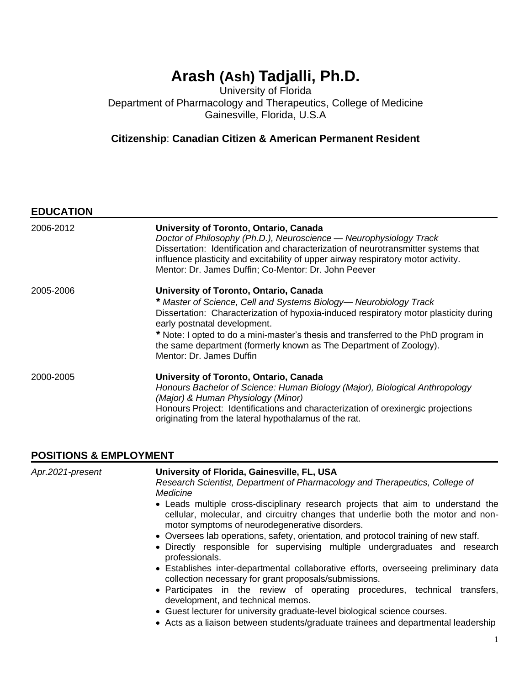# **Arash (Ash) Tadjalli, Ph.D.**

University of Florida Department of Pharmacology and Therapeutics, College of Medicine Gainesville, Florida, U.S.A

# **Citizenship**: **Canadian Citizen & American Permanent Resident**

# **EDUCATION**

| 2006-2012 | University of Toronto, Ontario, Canada<br>Doctor of Philosophy (Ph.D.), Neuroscience - Neurophysiology Track<br>Dissertation: Identification and characterization of neurotransmitter systems that<br>influence plasticity and excitability of upper airway respiratory motor activity.<br>Mentor: Dr. James Duffin; Co-Mentor: Dr. John Peever |
|-----------|-------------------------------------------------------------------------------------------------------------------------------------------------------------------------------------------------------------------------------------------------------------------------------------------------------------------------------------------------|
| 2005-2006 | University of Toronto, Ontario, Canada                                                                                                                                                                                                                                                                                                          |
|           | * Master of Science, Cell and Systems Biology— Neurobiology Track                                                                                                                                                                                                                                                                               |
|           | Dissertation: Characterization of hypoxia-induced respiratory motor plasticity during<br>early postnatal development.                                                                                                                                                                                                                           |
|           | * Note: I opted to do a mini-master's thesis and transferred to the PhD program in                                                                                                                                                                                                                                                              |
|           | the same department (formerly known as The Department of Zoology).                                                                                                                                                                                                                                                                              |
|           | Mentor: Dr. James Duffin                                                                                                                                                                                                                                                                                                                        |
| 2000-2005 | University of Toronto, Ontario, Canada                                                                                                                                                                                                                                                                                                          |
|           | Honours Bachelor of Science: Human Biology (Major), Biological Anthropology                                                                                                                                                                                                                                                                     |
|           | (Major) & Human Physiology (Minor)                                                                                                                                                                                                                                                                                                              |
|           | Honours Project: Identifications and characterization of orexinergic projections<br>originating from the lateral hypothalamus of the rat.                                                                                                                                                                                                       |

#### **POSITIONS & EMPLOYMENT**

| Apr.2021-present | University of Florida, Gainesville, FL, USA<br>Research Scientist, Department of Pharmacology and Therapeutics, College of                                                                                             |
|------------------|------------------------------------------------------------------------------------------------------------------------------------------------------------------------------------------------------------------------|
|                  | Medicine                                                                                                                                                                                                               |
|                  |                                                                                                                                                                                                                        |
|                  | • Leads multiple cross-disciplinary research projects that aim to understand the<br>cellular, molecular, and circuitry changes that underlie both the motor and non-<br>motor symptoms of neurodegenerative disorders. |
|                  | • Oversees lab operations, safety, orientation, and protocol training of new staff.                                                                                                                                    |
|                  | • Directly responsible for supervising multiple undergraduates and research                                                                                                                                            |
|                  | professionals.                                                                                                                                                                                                         |
|                  | • Establishes inter-departmental collaborative efforts, overseeing preliminary data<br>collection necessary for grant proposals/submissions.                                                                           |
|                  | • Participates in the review of operating procedures, technical<br>transfers.<br>development, and technical memos.                                                                                                     |
|                  | • Guest lecturer for university graduate-level biological science courses.                                                                                                                                             |
|                  | • Acts as a liaison between students/graduate trainees and departmental leadership                                                                                                                                     |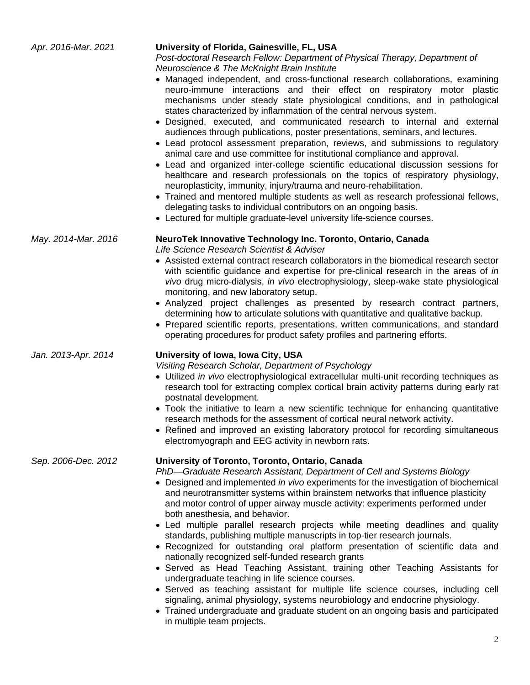| Apr. 2016-Mar. 2021 | University of Florida, Gainesville, FL, USA<br>Post-doctoral Research Fellow: Department of Physical Therapy, Department of<br>Neuroscience & The McKnight Brain Institute<br>• Managed independent, and cross-functional research collaborations, examining<br>neuro-immune interactions and their effect on respiratory motor plastic<br>mechanisms under steady state physiological conditions, and in pathological<br>states characterized by inflammation of the central nervous system.<br>• Designed, executed, and communicated research to internal and external<br>audiences through publications, poster presentations, seminars, and lectures.<br>• Lead protocol assessment preparation, reviews, and submissions to regulatory<br>animal care and use committee for institutional compliance and approval.<br>• Lead and organized inter-college scientific educational discussion sessions for<br>healthcare and research professionals on the topics of respiratory physiology,<br>neuroplasticity, immunity, injury/trauma and neuro-rehabilitation.<br>• Trained and mentored multiple students as well as research professional fellows,<br>delegating tasks to individual contributors on an ongoing basis.<br>• Lectured for multiple graduate-level university life-science courses. |
|---------------------|------------------------------------------------------------------------------------------------------------------------------------------------------------------------------------------------------------------------------------------------------------------------------------------------------------------------------------------------------------------------------------------------------------------------------------------------------------------------------------------------------------------------------------------------------------------------------------------------------------------------------------------------------------------------------------------------------------------------------------------------------------------------------------------------------------------------------------------------------------------------------------------------------------------------------------------------------------------------------------------------------------------------------------------------------------------------------------------------------------------------------------------------------------------------------------------------------------------------------------------------------------------------------------------------------------|
| May. 2014-Mar. 2016 | NeuroTek Innovative Technology Inc. Toronto, Ontario, Canada<br>Life Science Research Scientist & Adviser<br>• Assisted external contract research collaborators in the biomedical research sector<br>with scientific guidance and expertise for pre-clinical research in the areas of in<br>vivo drug micro-dialysis, in vivo electrophysiology, sleep-wake state physiological<br>monitoring, and new laboratory setup.<br>• Analyzed project challenges as presented by research contract partners,<br>determining how to articulate solutions with quantitative and qualitative backup.<br>• Prepared scientific reports, presentations, written communications, and standard<br>operating procedures for product safety profiles and partnering efforts.                                                                                                                                                                                                                                                                                                                                                                                                                                                                                                                                              |
| Jan. 2013-Apr. 2014 | University of Iowa, Iowa City, USA<br>Visiting Research Scholar, Department of Psychology<br>• Utilized in vivo electrophysiological extracellular multi-unit recording techniques as<br>research tool for extracting complex cortical brain activity patterns during early rat<br>postnatal development.<br>• Took the initiative to learn a new scientific technique for enhancing quantitative<br>research methods for the assessment of cortical neural network activity.<br>Refined and improved an existing laboratory protocol for recording simultaneous<br>electromyograph and EEG activity in newborn rats.                                                                                                                                                                                                                                                                                                                                                                                                                                                                                                                                                                                                                                                                                      |
| Sep. 2006-Dec. 2012 | University of Toronto, Toronto, Ontario, Canada<br>PhD-Graduate Research Assistant, Department of Cell and Systems Biology<br>• Designed and implemented in vivo experiments for the investigation of biochemical<br>and neurotransmitter systems within brainstem networks that influence plasticity<br>and motor control of upper airway muscle activity: experiments performed under<br>both anesthesia, and behavior.<br>• Led multiple parallel research projects while meeting deadlines and quality<br>standards, publishing multiple manuscripts in top-tier research journals.<br>• Recognized for outstanding oral platform presentation of scientific data and<br>nationally recognized self-funded research grants<br>• Served as Head Teaching Assistant, training other Teaching Assistants for<br>undergraduate teaching in life science courses.<br>• Served as teaching assistant for multiple life science courses, including cell<br>signaling, animal physiology, systems neurobiology and endocrine physiology.<br>• Trained undergraduate and graduate student on an ongoing basis and participated<br>in multiple team projects.                                                                                                                                                    |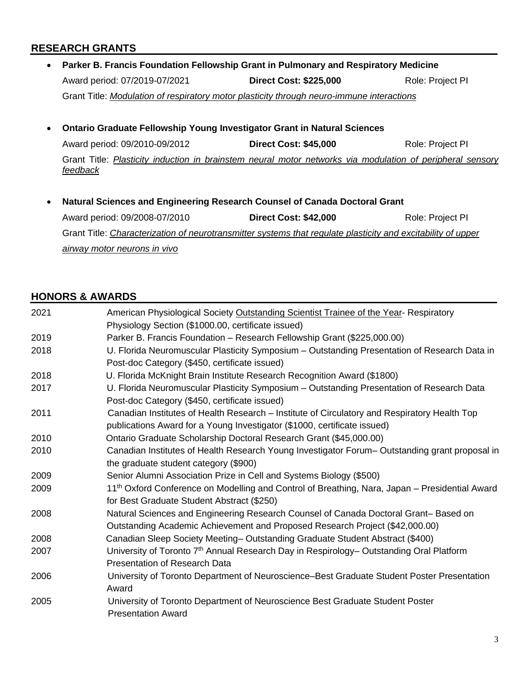#### **RESEARCH GRANTS**

- **Parker B. Francis Foundation Fellowship Grant in Pulmonary and Respiratory Medicine** Award period: 07/2019-07/2021 **Direct Cost: \$225,000** Role: Project PI Grant Title: *Modulation of respiratory motor plasticity through neuro-immune interactions*
- **Ontario Graduate Fellowship Young Investigator Grant in Natural Sciences** Award period: 09/2010-09/2012 **Direct Cost: \$45,000** Role: Project PI Grant Title: *Plasticity induction in brainstem neural motor networks via modulation of peripheral sensory feedback*
- **Natural Sciences and Engineering Research Counsel of Canada Doctoral Grant** Award period: 09/2008-07/2010 **Direct Cost: \$42,000** Role: Project PI Grant Title: *Characterization of neurotransmitter systems that regulate plasticity and excitability of upper airway motor neurons in vivo*

#### **HONORS & AWARDS**

| 2021 | American Physiological Society Outstanding Scientist Trainee of the Year- Respiratory                      |
|------|------------------------------------------------------------------------------------------------------------|
|      | Physiology Section (\$1000.00, certificate issued)                                                         |
| 2019 | Parker B. Francis Foundation - Research Fellowship Grant (\$225,000.00)                                    |
| 2018 | U. Florida Neuromuscular Plasticity Symposium - Outstanding Presentation of Research Data in               |
|      | Post-doc Category (\$450, certificate issued)                                                              |
| 2018 | U. Florida McKnight Brain Institute Research Recognition Award (\$1800)                                    |
| 2017 | U. Florida Neuromuscular Plasticity Symposium - Outstanding Presentation of Research Data                  |
|      | Post-doc Category (\$450, certificate issued)                                                              |
| 2011 | Canadian Institutes of Health Research - Institute of Circulatory and Respiratory Health Top               |
|      | publications Award for a Young Investigator (\$1000, certificate issued)                                   |
| 2010 | Ontario Graduate Scholarship Doctoral Research Grant (\$45,000.00)                                         |
| 2010 | Canadian Institutes of Health Research Young Investigator Forum– Outstanding grant proposal in             |
|      | the graduate student category (\$900)                                                                      |
| 2009 | Senior Alumni Association Prize in Cell and Systems Biology (\$500)                                        |
| 2009 | 11 <sup>th</sup> Oxford Conference on Modelling and Control of Breathing, Nara, Japan – Presidential Award |
|      | for Best Graduate Student Abstract (\$250)                                                                 |
| 2008 | Natural Sciences and Engineering Research Counsel of Canada Doctoral Grant-Based on                        |
|      | Outstanding Academic Achievement and Proposed Research Project (\$42,000.00)                               |
| 2008 | Canadian Sleep Society Meeting-Outstanding Graduate Student Abstract (\$400)                               |
| 2007 | University of Toronto 7 <sup>th</sup> Annual Research Day in Respirology- Outstanding Oral Platform        |
|      | <b>Presentation of Research Data</b>                                                                       |
| 2006 | University of Toronto Department of Neuroscience–Best Graduate Student Poster Presentation                 |
|      | Award                                                                                                      |
| 2005 | University of Toronto Department of Neuroscience Best Graduate Student Poster                              |
|      | <b>Presentation Award</b>                                                                                  |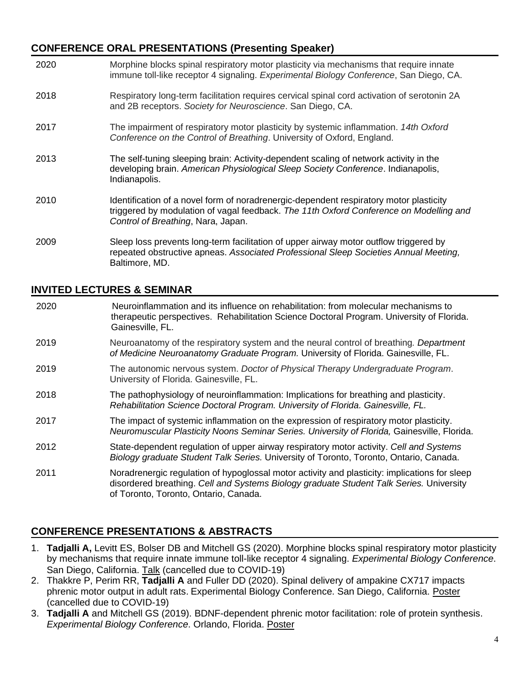## **CONFERENCE ORAL PRESENTATIONS (Presenting Speaker)**

| 2020 | Morphine blocks spinal respiratory motor plasticity via mechanisms that require innate<br>immune toll-like receptor 4 signaling. Experimental Biology Conference, San Diego, CA.                                       |
|------|------------------------------------------------------------------------------------------------------------------------------------------------------------------------------------------------------------------------|
| 2018 | Respiratory long-term facilitation requires cervical spinal cord activation of serotonin 2A<br>and 2B receptors. Society for Neuroscience. San Diego, CA.                                                              |
| 2017 | The impairment of respiratory motor plasticity by systemic inflammation. 14th Oxford<br>Conference on the Control of Breathing. University of Oxford, England.                                                         |
| 2013 | The self-tuning sleeping brain: Activity-dependent scaling of network activity in the<br>developing brain. American Physiological Sleep Society Conference. Indianapolis,<br>Indianapolis.                             |
| 2010 | Identification of a novel form of noradrenergic-dependent respiratory motor plasticity<br>triggered by modulation of vagal feedback. The 11th Oxford Conference on Modelling and<br>Control of Breathing, Nara, Japan. |
| 2009 | Sleep loss prevents long-term facilitation of upper airway motor outflow triggered by<br>repeated obstructive apneas. Associated Professional Sleep Societies Annual Meeting,<br>Baltimore, MD.                        |

## **INVITED LECTURES & SEMINAR**

| 2020 | Neuroinflammation and its influence on rehabilitation: from molecular mechanisms to<br>therapeutic perspectives. Rehabilitation Science Doctoral Program. University of Florida.<br>Gainesville, FL. |
|------|------------------------------------------------------------------------------------------------------------------------------------------------------------------------------------------------------|
| 2019 | Neuroanatomy of the respiratory system and the neural control of breathing. Department<br>of Medicine Neuroanatomy Graduate Program. University of Florida. Gainesville, FL.                         |
| 2019 | The autonomic nervous system. Doctor of Physical Therapy Undergraduate Program.<br>University of Florida. Gainesville, FL.                                                                           |
| 2018 | The pathophysiology of neuroinflammation: Implications for breathing and plasticity.<br>Rehabilitation Science Doctoral Program. University of Florida. Gainesville, FL.                             |
| 2017 | The impact of systemic inflammation on the expression of respiratory motor plasticity.<br>Neuromuscular Plasticity Noons Seminar Series. University of Florida, Gainesville, Florida.                |
| 2012 | State-dependent regulation of upper airway respiratory motor activity. Cell and Systems<br>Biology graduate Student Talk Series. University of Toronto, Toronto, Ontario, Canada.                    |
| 2011 | Noradrenergic regulation of hypoglossal motor activity and plasticity: implications for sleep                                                                                                        |

# **CONFERENCE PRESENTATIONS & ABSTRACTS**

of Toronto, Toronto, Ontario, Canada.

1. **Tadjalli A,** Levitt ES, Bolser DB and Mitchell GS (2020). Morphine blocks spinal respiratory motor plasticity by mechanisms that require innate immune toll-like receptor 4 signaling. *Experimental Biology Conference*. San Diego, California. Talk (cancelled due to COVID-19)

disordered breathing. *Cell and Systems Biology graduate Student Talk Series.* University

- 2. Thakkre P, Perim RR, **Tadjalli A** and Fuller DD (2020). Spinal delivery of ampakine CX717 impacts phrenic motor output in adult rats. Experimental Biology Conference. San Diego, California. Poster (cancelled due to COVID-19)
- 3. **Tadjalli A** and Mitchell GS (2019). BDNF-dependent phrenic motor facilitation: role of protein synthesis. *Experimental Biology Conference*. Orlando, Florida. Poster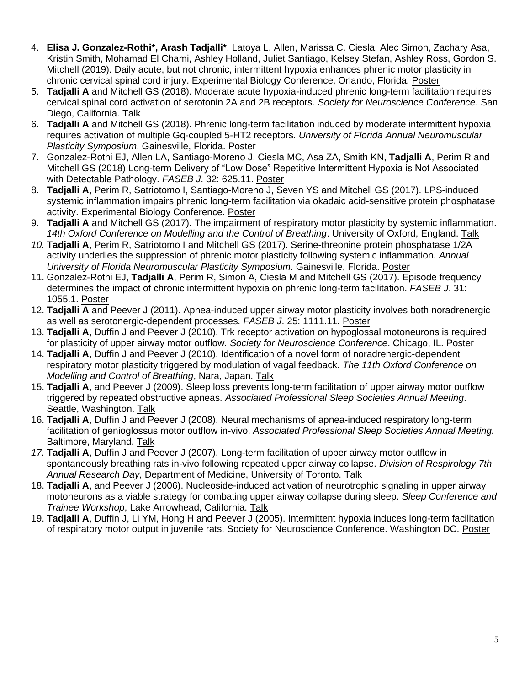- 4. **Elisa J. Gonzalez-Rothi\*, Arash Tadjalli\***, Latoya L. Allen, Marissa C. Ciesla, Alec Simon, Zachary Asa, Kristin Smith, Mohamad El Chami, Ashley Holland, Juliet Santiago, Kelsey Stefan, Ashley Ross, Gordon S. Mitchell (2019). Daily acute, but not chronic, intermittent hypoxia enhances phrenic motor plasticity in chronic cervical spinal cord injury. Experimental Biology Conference, Orlando, Florida. Poster
- 5. **Tadjalli A** and Mitchell GS (2018). Moderate acute hypoxia-induced phrenic long-term facilitation requires cervical spinal cord activation of serotonin 2A and 2B receptors. *Society for Neuroscience Conference*. San Diego, California. Talk
- 6. **Tadjalli A** and Mitchell GS (2018). Phrenic long-term facilitation induced by moderate intermittent hypoxia requires activation of multiple Gq-coupled 5-HT2 receptors. *University of Florida Annual Neuromuscular Plasticity Symposium*. Gainesville, Florida. Poster
- 7. Gonzalez-Rothi EJ, Allen LA, Santiago-Moreno J, Ciesla MC, Asa ZA, Smith KN, **Tadjalli A**, Perim R and Mitchell GS (2018) Long-term Delivery of "Low Dose" Repetitive Intermittent Hypoxia is Not Associated with Detectable Pathology. *FASEB J*. 32: 625.11. Poster
- 8. **Tadjalli A**, Perim R, Satriotomo I, Santiago-Moreno J, Seven YS and Mitchell GS (2017). LPS-induced systemic inflammation impairs phrenic long-term facilitation via okadaic acid-sensitive protein phosphatase activity. Experimental Biology Conference. Poster
- 9. **Tadjalli A** and Mitchell GS (2017). The impairment of respiratory motor plasticity by systemic inflammation. *14th Oxford Conference on Modelling and the Control of Breathing*. University of Oxford, England. Talk
- *10.* **Tadjalli A**, Perim R, Satriotomo I and Mitchell GS (2017). Serine-threonine protein phosphatase 1/2A activity underlies the suppression of phrenic motor plasticity following systemic inflammation. *Annual University of Florida Neuromuscular Plasticity Symposium*. Gainesville, Florida. Poster
- 11. Gonzalez-Rothi EJ, **Tadjalli A**, Perim R, Simon A, Ciesla M and Mitchell GS (2017). Episode frequency determines the impact of chronic intermittent hypoxia on phrenic long-term facilitation. *FASEB J*. 31: 1055.1. Poster
- 12. **Tadjalli A** and Peever J (2011). Apnea-induced upper airway motor plasticity involves both noradrenergic as well as serotonergic-dependent processes. *FASEB J*. 25: 1111.11. Poster
- 13. **Tadjalli A**, Duffin J and Peever J (2010). Trk receptor activation on hypoglossal motoneurons is required for plasticity of upper airway motor outflow. *Society for Neuroscience Conference*. Chicago, IL. Poster
- 14. **Tadjalli A**, Duffin J and Peever J (2010). Identification of a novel form of noradrenergic-dependent respiratory motor plasticity triggered by modulation of vagal feedback. *The 11th Oxford Conference on Modelling and Control of Breathing*, Nara, Japan. Talk
- 15. **Tadjalli A**, and Peever J (2009). Sleep loss prevents long-term facilitation of upper airway motor outflow triggered by repeated obstructive apneas. *Associated Professional Sleep Societies Annual Meeting*. Seattle, Washington. Talk
- 16. **Tadjalli A**, Duffin J and Peever J (2008). Neural mechanisms of apnea-induced respiratory long-term facilitation of genioglossus motor outflow in-vivo. *Associated Professional Sleep Societies Annual Meeting.*  Baltimore, Maryland. Talk
- *17.* **Tadjalli A**, Duffin J and Peever J (2007). Long-term facilitation of upper airway motor outflow in spontaneously breathing rats in-vivo following repeated upper airway collapse. *Division of Respirology 7th Annual Research Day*, Department of Medicine, University of Toronto. Talk
- 18. **Tadjalli A**, and Peever J (2006). Nucleoside-induced activation of neurotrophic signaling in upper airway motoneurons as a viable strategy for combating upper airway collapse during sleep. *Sleep Conference and Trainee Workshop*, Lake Arrowhead, California. Talk
- 19. **Tadjalli A**, Duffin J, Li YM, Hong H and Peever J (2005). Intermittent hypoxia induces long-term facilitation of respiratory motor output in juvenile rats. Society for Neuroscience Conference. Washington DC. Poster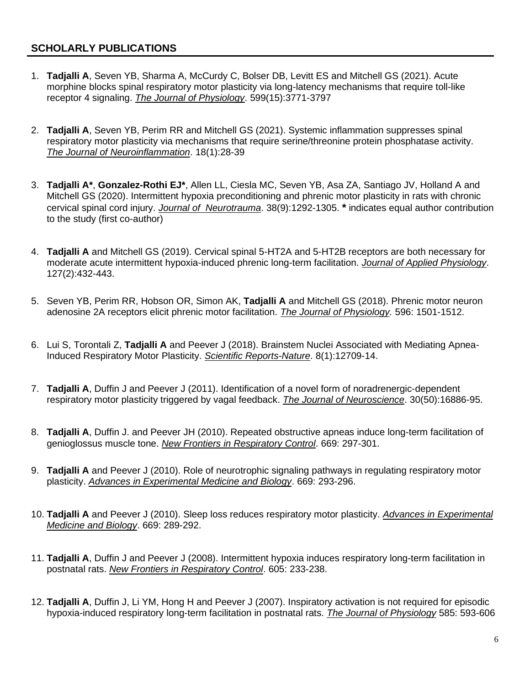# **SCHOLARLY PUBLICATIONS**

- 1. **Tadjalli A**, Seven YB, Sharma A, McCurdy C, Bolser DB, Levitt ES and Mitchell GS (2021). Acute morphine blocks spinal respiratory motor plasticity via long-latency mechanisms that require toll-like receptor 4 signaling. *The Journal of Physiology*. 599(15):3771-3797
- 2. **Tadjalli A**, Seven YB, Perim RR and Mitchell GS (2021). Systemic inflammation suppresses spinal respiratory motor plasticity via mechanisms that require serine/threonine protein phosphatase activity. *The Journal of Neuroinflammation*. 18(1):28-39
- 3. **Tadjalli A\***, **Gonzalez-Rothi EJ\***, Allen LL, Ciesla MC, Seven YB, Asa ZA, Santiago JV, Holland A and Mitchell GS (2020). Intermittent hypoxia preconditioning and phrenic motor plasticity in rats with chronic cervical spinal cord injury. *Journal of Neurotrauma*. 38(9):1292-1305. **\*** indicates equal author contribution to the study (first co-author)
- 4. **Tadjalli A** and Mitchell GS (2019). Cervical spinal 5-HT2A and 5-HT2B receptors are both necessary for moderate acute intermittent hypoxia-induced phrenic long-term facilitation. *Journal of Applied Physiology*. 127(2):432-443.
- 5. Seven YB, Perim RR, Hobson OR, Simon AK, **Tadjalli A** and Mitchell GS (2018). Phrenic motor neuron adenosine 2A receptors elicit phrenic motor facilitation. *The Journal of Physiology.* 596: 1501-1512.
- 6. Lui S, Torontali Z, **Tadjalli A** and Peever J (2018). Brainstem Nuclei Associated with Mediating Apnea-Induced Respiratory Motor Plasticity. *Scientific Reports-Nature*. 8(1):12709-14.
- 7. **Tadjalli A**, Duffin J and Peever J (2011). Identification of a novel form of noradrenergic-dependent respiratory motor plasticity triggered by vagal feedback. *The Journal of Neuroscience*. 30(50):16886-95.
- 8. **Tadjalli A**, Duffin J. and Peever JH (2010). Repeated obstructive apneas induce long-term facilitation of genioglossus muscle tone. *New Frontiers in Respiratory Control*. 669: 297-301.
- 9. **Tadjalli A** and Peever J (2010). Role of neurotrophic signaling pathways in regulating respiratory motor plasticity. *Advances in Experimental Medicine and Biology*. 669: 293-296.
- 10. **Tadjalli A** and Peever J (2010). Sleep loss reduces respiratory motor plasticity. *Advances in Experimental Medicine and Biology*. 669: 289-292.
- 11. **Tadjalli A**, Duffin J and Peever J (2008). Intermittent hypoxia induces respiratory long-term facilitation in postnatal rats. *New Frontiers in Respiratory Control*. 605: 233-238.
- 12. **Tadjalli A**, Duffin J, Li YM, Hong H and Peever J (2007). Inspiratory activation is not required for episodic hypoxia-induced respiratory long-term facilitation in postnatal rats. *The Journal of Physiology* 585: 593-606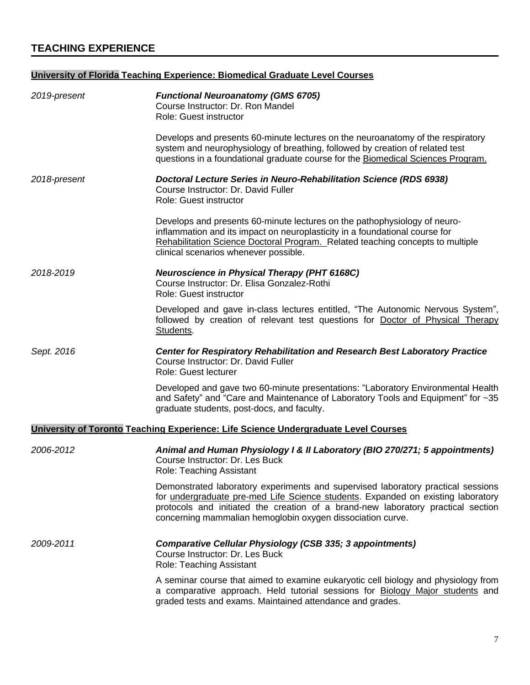# **University of Florida Teaching Experience: Biomedical Graduate Level Courses**

| 2019-present | <b>Functional Neuroanatomy (GMS 6705)</b><br>Course Instructor: Dr. Ron Mandel<br>Role: Guest instructor                                                                                                                                                                                                               |
|--------------|------------------------------------------------------------------------------------------------------------------------------------------------------------------------------------------------------------------------------------------------------------------------------------------------------------------------|
|              | Develops and presents 60-minute lectures on the neuroanatomy of the respiratory<br>system and neurophysiology of breathing, followed by creation of related test<br>questions in a foundational graduate course for the Biomedical Sciences Program.                                                                   |
| 2018-present | <b>Doctoral Lecture Series in Neuro-Rehabilitation Science (RDS 6938)</b><br>Course Instructor: Dr. David Fuller<br>Role: Guest instructor                                                                                                                                                                             |
|              | Develops and presents 60-minute lectures on the pathophysiology of neuro-<br>inflammation and its impact on neuroplasticity in a foundational course for<br>Rehabilitation Science Doctoral Program. Related teaching concepts to multiple<br>clinical scenarios whenever possible.                                    |
| 2018-2019    | <b>Neuroscience in Physical Therapy (PHT 6168C)</b><br>Course Instructor: Dr. Elisa Gonzalez-Rothi<br><b>Role: Guest instructor</b>                                                                                                                                                                                    |
|              | Developed and gave in-class lectures entitled, "The Autonomic Nervous System",<br>followed by creation of relevant test questions for Doctor of Physical Therapy<br>Students.                                                                                                                                          |
| Sept. 2016   | <b>Center for Respiratory Rehabilitation and Research Best Laboratory Practice</b><br>Course Instructor: Dr. David Fuller<br>Role: Guest lecturer                                                                                                                                                                      |
|              | Developed and gave two 60-minute presentations: "Laboratory Environmental Health<br>and Safety" and "Care and Maintenance of Laboratory Tools and Equipment" for ~35<br>graduate students, post-docs, and faculty.                                                                                                     |
|              | University of Toronto Teaching Experience: Life Science Undergraduate Level Courses                                                                                                                                                                                                                                    |
| 2006-2012    | Animal and Human Physiology I & II Laboratory (BIO 270/271; 5 appointments)<br>Course Instructor: Dr. Les Buck<br>Role: Teaching Assistant                                                                                                                                                                             |
|              | Demonstrated laboratory experiments and supervised laboratory practical sessions<br>for undergraduate pre-med Life Science students. Expanded on existing laboratory<br>protocols and initiated the creation of a brand-new laboratory practical section<br>concerning mammalian hemoglobin oxygen dissociation curve. |
| 2009-2011    | <b>Comparative Cellular Physiology (CSB 335; 3 appointments)</b><br>Course Instructor: Dr. Les Buck<br>Role: Teaching Assistant                                                                                                                                                                                        |
|              | A seminar course that aimed to examine eukaryotic cell biology and physiology from<br>a comparative approach. Held tutorial sessions for Biology Major students and<br>graded tests and exams. Maintained attendance and grades.                                                                                       |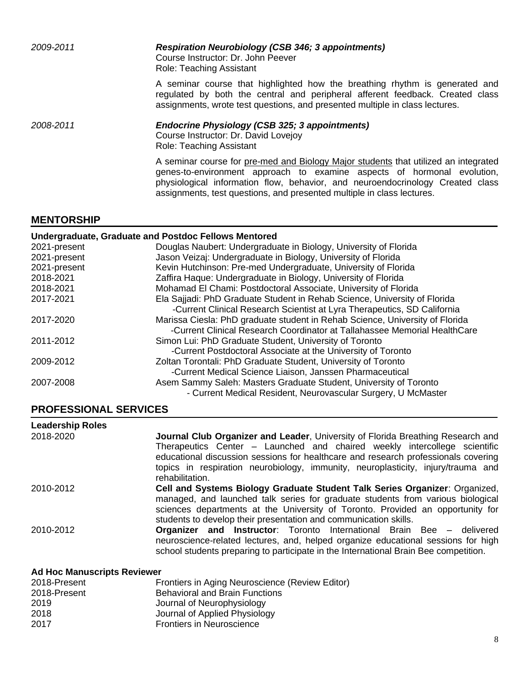*2009-2011 Respiration Neurobiology (CSB 346; 3 appointments)*  Course Instructor: Dr. John Peever Role: Teaching Assistant A seminar course that highlighted how the breathing rhythm is generated and regulated by both the central and peripheral afferent feedback. Created class assignments, wrote test questions, and presented multiple in class lectures. *2008-2011 Endocrine Physiology (CSB 325; 3 appointments)*  Course Instructor: Dr. David Lovejoy Role: Teaching Assistant A seminar course for pre-med and Biology Major students that utilized an integrated genes-to-environment approach to examine aspects of hormonal evolution, physiological information flow, behavior, and neuroendocrinology Created class

assignments, test questions, and presented multiple in class lectures.

#### **MENTORSHIP**

#### **Undergraduate, Graduate and Postdoc Fellows Mentored** 2021-present Douglas Naubert: Undergraduate in Biology, University of Florida 2021-present Jason Veizaj: Undergraduate in Biology, University of Florida 2021-present Kevin Hutchinson: Pre-med Undergraduate, University of Florida 2018-2021 Zaffira Haque: Undergraduate in Biology, University of Florida 2018-2021 Mohamad El Chami: Postdoctoral Associate, University of Florida 2017-2021 Ela Sajjadi: PhD Graduate Student in Rehab Science, University of Florida -Current Clinical Research Scientist at Lyra Therapeutics, SD California 2017-2020 Marissa Ciesla: PhD graduate student in Rehab Science, University of Florida -Current Clinical Research Coordinator at Tallahassee Memorial HealthCare 2011-2012 Simon Lui: PhD Graduate Student, University of Toronto -Current Postdoctoral Associate at the University of Toronto 2009-2012 Zoltan Torontali: PhD Graduate Student, University of Toronto -Current Medical Science Liaison, Janssen Pharmaceutical 2007-2008 Asem Sammy Saleh: Masters Graduate Student, University of Toronto - Current Medical Resident, Neurovascular Surgery, U McMaster

#### **PROFESSIONAL SERVICES**

| <b>Leadership Roles</b>            |                                                                                                                                                                                                                                                                                                                                                           |
|------------------------------------|-----------------------------------------------------------------------------------------------------------------------------------------------------------------------------------------------------------------------------------------------------------------------------------------------------------------------------------------------------------|
| 2018-2020                          | Journal Club Organizer and Leader, University of Florida Breathing Research and<br>Therapeutics Center – Launched and chaired weekly intercollege scientific<br>educational discussion sessions for healthcare and research professionals covering<br>topics in respiration neurobiology, immunity, neuroplasticity, injury/trauma and<br>rehabilitation. |
| 2010-2012                          | Cell and Systems Biology Graduate Student Talk Series Organizer: Organized,<br>managed, and launched talk series for graduate students from various biological<br>sciences departments at the University of Toronto. Provided an opportunity for<br>students to develop their presentation and communication skills.                                      |
| 2010-2012                          | <b>Organizer and Instructor:</b> Toronto International Brain Bee - delivered<br>neuroscience-related lectures, and, helped organize educational sessions for high<br>school students preparing to participate in the International Brain Bee competition.                                                                                                 |
| <b>Ad Hoc Manuscripts Reviewer</b> |                                                                                                                                                                                                                                                                                                                                                           |

| 2018-Present | Frontiers in Aging Neuroscience (Review Editor) |
|--------------|-------------------------------------------------|
| 2018-Present | <b>Behavioral and Brain Functions</b>           |
| 2019         | Journal of Neurophysiology                      |
| 2018         | Journal of Applied Physiology                   |
| 2017         | <b>Frontiers in Neuroscience</b>                |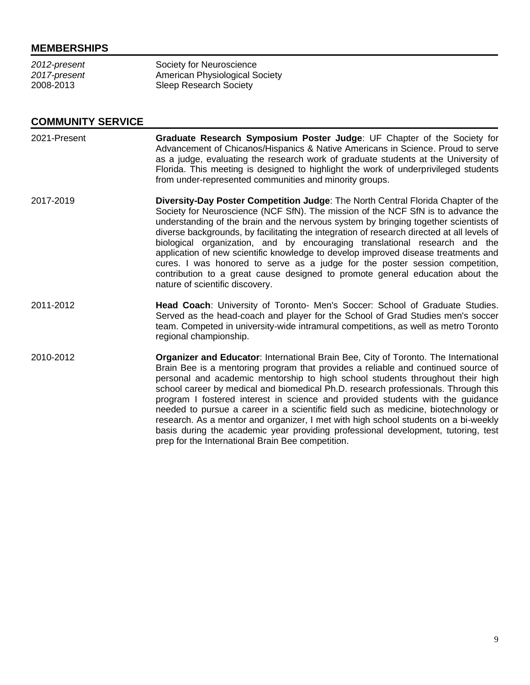#### **MEMBERSHIPS**

| 2012-present | Society for Neuroscience       |
|--------------|--------------------------------|
| 2017-present | American Physiological Society |
| 2008-2013    | <b>Sleep Research Society</b>  |

#### **COMMUNITY SERVICE**

- 2021-Present **Graduate Research Symposium Poster Judge**: UF Chapter of the Society for Advancement of Chicanos/Hispanics & Native Americans in Science. Proud to serve as a judge, evaluating the research work of graduate students at the University of Florida. This meeting is designed to highlight the work of underprivileged students from under-represented communities and minority groups.
- 2017-2019 **Diversity-Day Poster Competition Judge**: The North Central Florida Chapter of the Society for Neuroscience (NCF SfN). The mission of the NCF SfN is to advance the understanding of the brain and the nervous system by bringing together scientists of diverse backgrounds, by facilitating the integration of research directed at all levels of biological organization, and by encouraging translational research and the application of new scientific knowledge to develop improved disease treatments and cures. I was honored to serve as a judge for the poster session competition, contribution to a great cause designed to promote general education about the nature of scientific discovery.
- 2011-2012 **Head Coach**: University of Toronto- Men's Soccer: School of Graduate Studies. Served as the head-coach and player for the School of Grad Studies men's soccer team. Competed in university-wide intramural competitions, as well as metro Toronto regional championship.
- 2010-2012 **Organizer and Educator**: International Brain Bee, City of Toronto. The International Brain Bee is a mentoring program that provides a reliable and continued source of personal and academic mentorship to high school students throughout their high school career by medical and biomedical Ph.D. research professionals. Through this program I fostered interest in science and provided students with the guidance needed to pursue a career in a scientific field such as medicine, biotechnology or research. As a mentor and organizer, I met with high school students on a bi-weekly basis during the academic year providing professional development, tutoring, test prep for the International Brain Bee competition.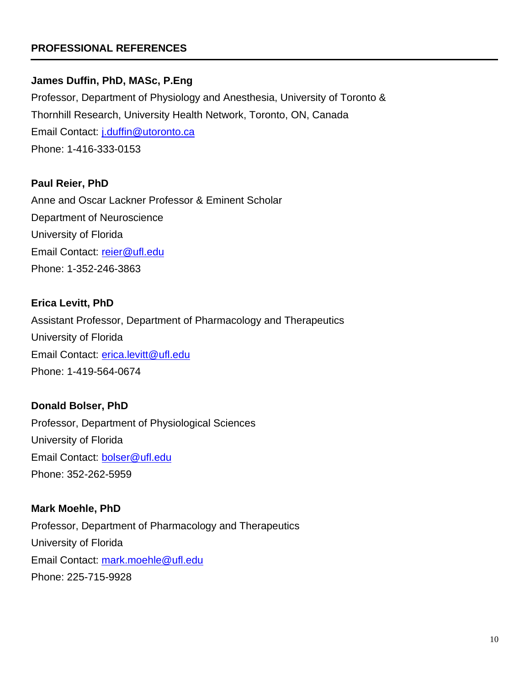# **PROFESSIONAL REFERENCES**

#### **James Duffin, PhD, MASc, P.Eng**

Professor, Department of Physiology and Anesthesia, University of Toronto & Thornhill Research, University Health Network, Toronto, ON, Canada Email Contact: [j.duffin@utoronto.ca](mailto:j.duffin@utoronto.ca) Phone: 1-416-333-0153

## **Paul Reier, PhD**

Anne and Oscar Lackner Professor & Eminent Scholar Department of Neuroscience University of Florida Email Contact: [reier@ufl.edu](mailto:reier@ufl.edu) Phone: 1-352-246-3863

#### **Erica Levitt, PhD**

Assistant Professor, Department of Pharmacology and Therapeutics University of Florida Email Contact: [erica.levitt@ufl.edu](mailto:erica.levitt@ufl.edu) Phone: 1-419-564-0674

#### **Donald Bolser, PhD**

Professor, Department of Physiological Sciences University of Florida Email Contact: [bolser@ufl.edu](mailto:bolser@ufl.edu) Phone: 352-262-5959

## **Mark Moehle, PhD**

Professor, Department of Pharmacology and Therapeutics University of Florida Email Contact: [mark.moehle@ufl.edu](mailto:mark.moehle@ufl.edu) Phone: 225-715-9928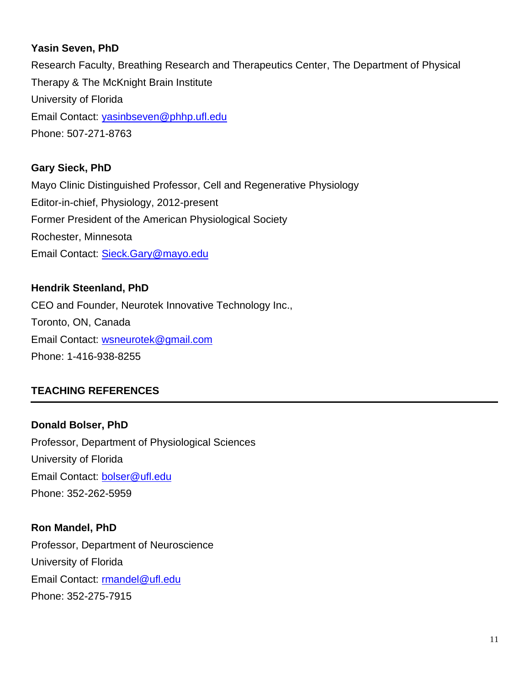# **Yasin Seven, PhD**

Research Faculty, Breathing Research and Therapeutics Center, The Department of Physical Therapy & The McKnight Brain Institute University of Florida Email Contact: [yasinbseven@phhp.ufl.edu](mailto:yasinbseven@phhp.ufl.edu) Phone: 507-271-8763

# **Gary Sieck, PhD**

Mayo Clinic Distinguished Professor, Cell and Regenerative Physiology Editor-in-chief, Physiology, 2012-present Former President of the American Physiological Society Rochester, Minnesota Email Contact: [Sieck.Gary@mayo.edu](mailto:Sieck.Gary@mayo.edu)

# **Hendrik Steenland, PhD**

CEO and Founder, Neurotek Innovative Technology Inc., Toronto, ON, Canada Email Contact: [wsneurotek@gmail.com](mailto:wsneurotek@gmail.com) Phone: 1-416-938-8255

# **TEACHING REFERENCES**

**Donald Bolser, PhD** Professor, Department of Physiological Sciences University of Florida Email Contact: [bolser@ufl.edu](mailto:bolser@ufl.edu) Phone: 352-262-5959

# **Ron Mandel, PhD**

Professor, Department of Neuroscience University of Florida Email Contact: [rmandel@ufl.edu](mailto:rmandel@ufl.edu) Phone: 352-275-7915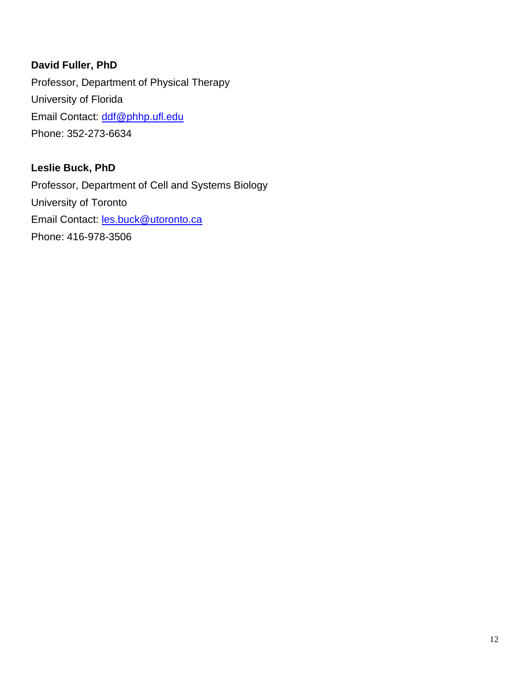# **David Fuller, PhD**

Professor, Department of Physical Therapy University of Florida Email Contact: [ddf@phhp.ufl.edu](mailto:ddf@phhp.ufl.edu) Phone: 352-273-6634

# **Leslie Buck, PhD**

Professor, Department of Cell and Systems Biology University of Toronto Email Contact: **les.buck@utoronto.ca** Phone: 416-978-3506